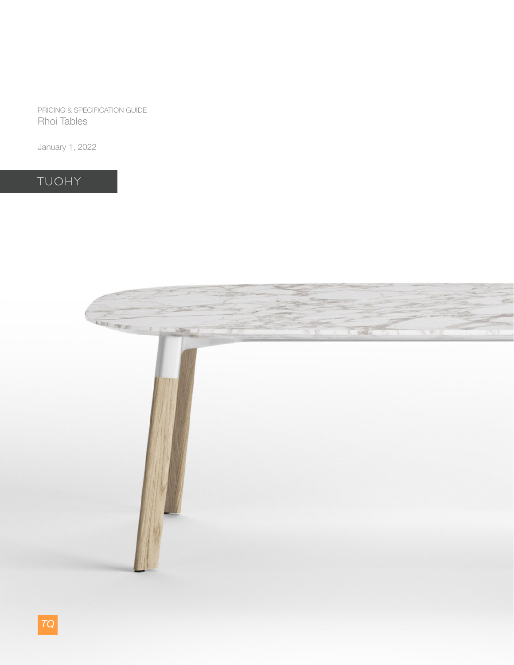PRICING & SPECIFICATION GUIDE Rhoi Tables

January 1, 2022

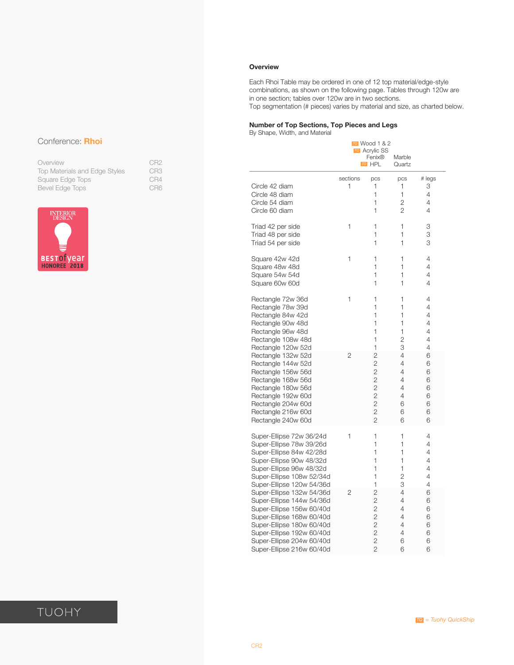### **Overview**

Each Rhoi Table may be ordered in one of 12 top material/edge-style combinations, as shown on the following page. Tables through 120w are in one section; tables over 120w are in two sections. Top segmentation (# pieces) varies by material and size, as charted below.

### **Number of Top Sections, Top Pieces and Legs**

By Shape, Width, and Material

|                                                                      |               | TQ Wood 1 & 2<br><b>TO</b> Acrylic SS<br>Fenix®<br>TQ HPL | Marble<br>Quartz                                  |                            |
|----------------------------------------------------------------------|---------------|-----------------------------------------------------------|---------------------------------------------------|----------------------------|
| Circle 42 diam<br>Circle 48 diam<br>Circle 54 diam<br>Circle 60 diam | sections<br>1 | pcs<br>1<br>1<br>1<br>1                                   | pcs<br>1<br>1<br>$\overline{2}$<br>$\overline{2}$ | # legs<br>3<br>4<br>4<br>4 |
| Triad 42 per side                                                    | 1             | 1                                                         | 1                                                 | 3                          |
| Triad 48 per side                                                    |               | 1                                                         | 1                                                 | 3                          |
| Triad 54 per side                                                    |               | 1                                                         | 1                                                 | 3                          |
| Square 42w 42d                                                       | 1             | 1                                                         | 1                                                 | 4                          |
| Square 48w 48d                                                       |               | 1                                                         | 1                                                 | 4                          |
| Square 54w 54d                                                       |               | 1                                                         | 1                                                 | 4                          |
| Square 60w 60d                                                       |               | 1                                                         | 1                                                 | 4                          |
| Rectangle 72w 36d                                                    | 1             | 1                                                         | 1                                                 | 4                          |
| Rectangle 78w 39d                                                    |               | 1                                                         | 1                                                 | 4                          |
| Rectangle 84w 42d                                                    |               | 1                                                         | 1                                                 | 4                          |
| Rectangle 90w 48d                                                    |               | 1                                                         | 1                                                 | 4                          |
| Rectangle 96w 48d                                                    |               | 1                                                         | 1                                                 | 4                          |
| Rectangle 108w 48d                                                   |               | 1                                                         | $\overline{c}$                                    | 4                          |
| Rectangle 120w 52d                                                   |               | 1                                                         | З                                                 | 4                          |
| Rectangle 132w 52d                                                   | 2             | $\overline{c}$                                            | 4                                                 | 6                          |
| Rectangle 144w 52d                                                   |               | $\overline{2}$                                            | 4                                                 | 6                          |
| Rectangle 156w 56d                                                   |               | $\overline{2}$                                            | 4                                                 | 6                          |
| Rectangle 168w 56d                                                   |               | $\overline{c}$                                            | 4                                                 | 6                          |
| Rectangle 180w 56d                                                   |               | $\overline{2}$                                            | 4                                                 | 6                          |
| Rectangle 192w 60d                                                   |               | $\overline{2}$                                            | 4                                                 | 6                          |
| Rectangle 204w 60d                                                   |               | $\overline{2}$                                            | 6                                                 | 6                          |
| Rectangle 216w 60d                                                   |               | $\overline{2}$                                            | 6                                                 | 6                          |
| Rectangle 240w 60d                                                   |               | $\overline{2}$                                            | 6                                                 | 6                          |
| Super-Ellipse 72w 36/24d                                             | 1             | 1                                                         | 1                                                 | 4                          |
| Super-Ellipse 78w 39/26d                                             |               | 1                                                         | 1                                                 | 4                          |
| Super-Ellipse 84w 42/28d                                             |               | 1                                                         | 1                                                 | 4                          |
| Super-Ellipse 90w 48/32d                                             |               | 1                                                         | 1                                                 | 4                          |
| Super-Ellipse 96w 48/32d                                             |               | 1                                                         | 1                                                 | 4                          |
| Super-Ellipse 108w 52/34d                                            |               | 1                                                         | $\overline{2}$                                    | 4                          |
| Super-Ellipse 120w 54/36d                                            |               | 1                                                         | 3                                                 | 4                          |
| Super-Ellipse 132w 54/36d                                            | 2             | $\overline{2}$                                            | 4                                                 | 6                          |
| Super-Ellipse 144w 54/36d                                            |               | 2                                                         | 4                                                 | 6                          |
| Super-Ellipse 156w 60/40d                                            |               | $\overline{2}$                                            | 4                                                 | 6                          |
| Super-Ellipse 168w 60/40d                                            |               | $\overline{2}$                                            | 4                                                 | 6                          |
| Super-Ellipse 180w 60/40d                                            |               | $\overline{2}$                                            | 4                                                 | 6                          |
| Super-Ellipse 192w 60/40d                                            |               | $\overline{c}$                                            | 4                                                 | 6                          |
| Super-Ellipse 204w 60/40d                                            |               | $\overline{2}$                                            | 6                                                 | 6                          |
| Super-Ellipse 216w 60/40d                                            |               | $\overline{2}$                                            | 6                                                 | 6                          |

### Conference: **Rhoi**

| Overview                      | CR <sub>2</sub> |
|-------------------------------|-----------------|
| Top Materials and Edge Styles | CR <sub>3</sub> |
| Square Edge Tops              | CR4             |
| Bevel Edge Tops               | CR <sub>6</sub> |

CR3 CR4<br>CR6



### TUOHY

*= Tuohy QuickShip TQ*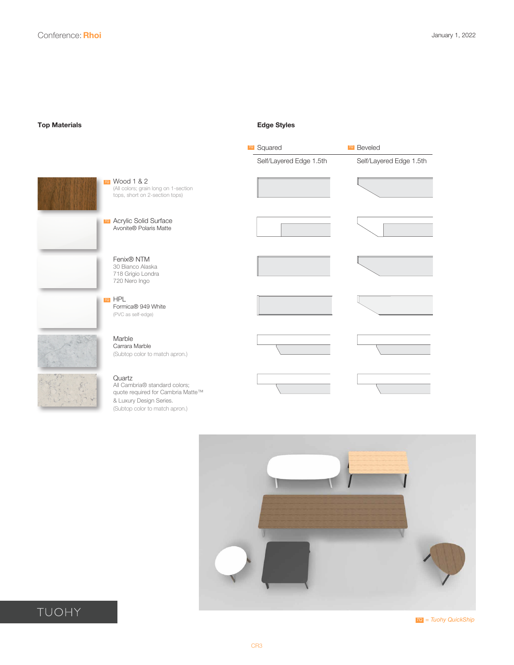<span id="page-2-0"></span>**Top Materials Edge Styles**





TUOHY

*= Tuohy QuickShip TQ*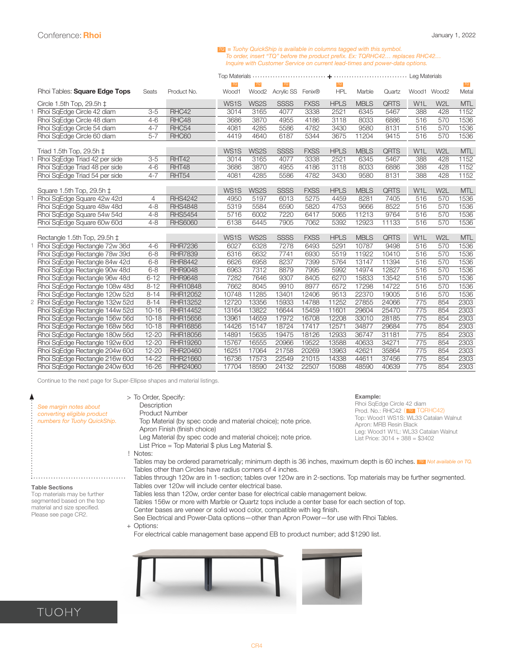#### **=** *Tuohy QuickShip is available in columns tagged with this symbol. To order, insert "TQ" before the product prefix. Ex: TQRHC42… replaces RHC42… Inquire with Customer Service on current lead-times and power-data options.*

<span id="page-3-0"></span>

|                                  |           |                 | TQ    | TQ                | $TQ$        |             | TQ          |             |             |                  |                  | $TQ$       |
|----------------------------------|-----------|-----------------|-------|-------------------|-------------|-------------|-------------|-------------|-------------|------------------|------------------|------------|
| Rhoi Tables: Square Edge Tops    | Seats     | Product No.     | Wood1 | Wood <sub>2</sub> | Acrylic SS  | Fenix®      | <b>HPL</b>  | Marble      | Quartz      | Wood1 Wood2      |                  | Metal      |
| Circle 1.5th Top, 29.5h $\pm$    |           |                 | WS1S  | WS2S              | <b>SSSS</b> | <b>FXSS</b> | <b>HPLS</b> | <b>MBLS</b> | <b>QRTS</b> | W <sub>1</sub> L | W <sub>2</sub> L | <b>MTL</b> |
| Rhoi SgEdge Circle 42 diam       | $3-5$     | RHC42           | 3014  | 3165              | 4077        | 3338        | 2521        | 6345        | 5467        | 388              | 428              | 1152       |
| Rhoi SqEdge Circle 48 diam       | $4 - 6$   | RHC48           | 3686  | 3870              | 4955        | 4186        | 3118        | 8033        | 6886        | 516              | 570              | 1536       |
| Rhoi SqEdge Circle 54 diam       | $4 - 7$   | RHC54           | 4081  | 4285              | 5586        | 4782        | 3430        | 9580        | 8131        | 516              | 570              | 1536       |
| Rhoi SqEdge Circle 60 diam       | $5 - 7$   | RHC60           | 4419  | 4640              | 6187        | 5344        | 3675        | 11204       | 9415        | 516              | 570              | 1536       |
|                                  |           |                 |       |                   |             |             |             |             |             |                  |                  |            |
| Triad 1.5th Top, 29.5h ‡         |           |                 | WS1S  | WS2S              | <b>SSSS</b> | <b>FXSS</b> | <b>HPLS</b> | <b>MBLS</b> | <b>QRTS</b> | W <sub>1</sub> L | W <sub>2</sub> L | <b>MTL</b> |
| 1 Rhoi SqEdge Triad 42 per side  | $3-5$     | RHT42           | 3014  | 3165              | 4077        | 3338        | 2521        | 6345        | 5467        | 388              | 428              | 1152       |
| Rhoi SqEdge Triad 48 per side    | $4 - 6$   | RHT48           | 3686  | 3870              | 4955        | 4186        | 3118        | 8033        | 6886        | 388              | 428              | 1152       |
| Rhoi SqEdge Triad 54 per side    | $4 - 7$   | RHT54           | 4081  | 4285              | 5586        | 4782        | 3430        | 9580        | 8131        | 388              | 428              | 1152       |
| Square 1.5th Top, 29.5h ‡        |           |                 | WS1S  | WS2S              | <b>SSSS</b> | <b>FXSS</b> | <b>HPLS</b> | <b>MBLS</b> | <b>QRTS</b> | W <sub>1</sub> L | W <sub>2</sub> L | <b>MTL</b> |
| 1 Rhoi SgEdge Square 42w 42d     | 4         | <b>RHS4242</b>  | 4950  | 5197              | 6013        | 5275        | 4459        | 8281        | 7405        | 516              | 570              | 1536       |
| Rhoi SqEdge Square 48w 48d       | $4 - 8$   | <b>RHS4848</b>  | 5319  | 5584              | 6590        | 5820        | 4753        | 9666        | 8522        | 516              | 570              | 1536       |
| Rhoi SqEdge Square 54w 54d       | $4 - 8$   | <b>RHS5454</b>  | 5716  | 6002              | 7220        | 6417        | 5065        | 11213       | 9764        | 516              | 570              | 1536       |
| Rhoi SqEdge Square 60w 60d       | $4 - 8$   | <b>RHS6060</b>  | 6138  | 6445              | 7905        | 7062        | 5392        | 12923       | 11133       | 516              | 570              | 1536       |
|                                  |           |                 |       |                   |             |             |             |             |             |                  |                  |            |
| Rectangle 1.5th Top, 29.5h ‡     |           |                 | WS1S  | WS2S              | <b>SSSS</b> | <b>FXSS</b> | <b>HPLS</b> | <b>MBLS</b> | <b>QRTS</b> | W <sub>1</sub> L | W <sub>2</sub> L | <b>MTL</b> |
| Rhoi SqEdge Rectangle 72w 36d    | $4 - 6$   | <b>RHR7236</b>  | 6027  | 6328              | 7278        | 6493        | 5291        | 10787       | 9498        | 516              | 570              | 1536       |
| Rhoi SqEdge Rectangle 78w 39d    | $6 - 8$   | <b>RHR7839</b>  | 6316  | 6632              | 7741        | 6930        | 5519        | 11922       | 10410       | 516              | 570              | 1536       |
| Rhoi SqEdge Rectangle 84w 42d    | $6 - 8$   | <b>RHR8442</b>  | 6626  | 6958              | 8237        | 7399        | 5764        | 13147       | 11394       | 516              | 570              | 1536       |
| Rhoi SqEdge Rectangle 90w 48d    | $6 - 8$   | <b>RHR9048</b>  | 6963  | 7312              | 8879        | 7995        | 5992        | 14974       | 12827       | 516              | 570              | 1536       |
| Rhoi SqEdge Rectangle 96w 48d    | $6 - 12$  | <b>RHR9648</b>  | 7282  | 7646              | 9307        | 8405        | 6270        | 15833       | 13542       | 516              | 570              | 1536       |
| Rhoi SqEdge Rectangle 108w 48d   | $8 - 12$  | RHR10848        | 7662  | 8045              | 9910        | 8977        | 6572        | 17298       | 14722       | 516              | 570              | 1536       |
| Rhoi SqEdge Rectangle 120w 52d   | $8 - 14$  | RHR12052        | 10748 | 11285             | 13401       | 12406       | 9513        | 22370       | 19005       | 516              | 570              | 1536       |
| 2 Rhoi SqEdge Rectangle 132w 52d | $8 - 14$  | RHR13252        | 12720 | 13356             | 15933       | 14788       | 11252       | 27855       | 24066       | 775              | 854              | 2303       |
| Rhoi SqEdge Rectangle 144w 52d   | $10 - 16$ | <b>RHR14452</b> | 13164 | 13822             | 16644       | 15459       | 11601       | 29604       | 25470       | 775              | 854              | 2303       |
| Rhoi SqEdge Rectangle 156w 56d   | $10 - 18$ | <b>RHR15656</b> | 13961 | 14659             | 17972       | 16708       | 12208       | 33010       | 28185       | 775              | 854              | 2303       |
| Rhoi SqEdge Rectangle 168w 56d   | $10 - 18$ | RHR16856        | 14426 | 15147             | 18724       | 17417       | 12571       | 34877       | 29684       | 775              | 854              | 2303       |
| Rhoi SgEdge Rectangle 180w 56d   | $12 - 20$ | <b>RHR18056</b> | 14891 | 15635             | 19475       | 18126       | 12933       | 36747       | 31181       | 775              | 854              | 2303       |
| Rhoi SgEdge Rectangle 192w 60d   | $12 - 20$ | RHR19260        | 15767 | 16555             | 20966       | 19522       | 13588       | 40633       | 34271       | 775              | 854              | 2303       |
| Rhoi SqEdge Rectangle 204w 60d   | $12 - 20$ | RHR20460        | 16251 | 17064             | 21758       | 20269       | 13963       | 42621       | 35864       | 775              | 854              | 2303       |
| Rhoi SqEdge Rectangle 216w 60d   | 14-22     | RHR21660        | 16736 | 17573             | 22549       | 21015       | 14338       | 44611       | 37456       | 775              | 854              | 2303       |
| Rhoi SgEdge Rectangle 240w 60d   | 16-26     | RHR24060        | 17704 | 18590             | 24132       | 22507       | 15088       | 48590       | 40639       | 775              | 854              | 2303       |

Continue to the next page for Super-Ellipse shapes and material listings.

| See margin notes about<br>converting eligible product<br>numbers for Tuohy QuickShip.                                                       | > To Order, Specify:<br>Description<br>Product Number<br>Top Material (by spec code and material choice); note price.<br>Apron Finish (finish choice)<br>Leg Material (by spec code and material choice); note price.<br>List Price = Top Material $\frac{6}{3}$ plus Leg Material \$.<br>Notes:                                                                                                                                                           | Example:<br>Rhoi SqEdge Circle 42 diam<br>Prod. No.: RHC42 (TO TQRHC42)<br>Top: Wood1 WS1S: WL33 Catalan Walnut<br>Apron: MRB Resin Black<br>Leg: Wood1 W1L: WL33 Catalan Walnut<br>List Price: $3014 + 388 = $3402$ |  |  |  |  |  |  |
|---------------------------------------------------------------------------------------------------------------------------------------------|------------------------------------------------------------------------------------------------------------------------------------------------------------------------------------------------------------------------------------------------------------------------------------------------------------------------------------------------------------------------------------------------------------------------------------------------------------|----------------------------------------------------------------------------------------------------------------------------------------------------------------------------------------------------------------------|--|--|--|--|--|--|
|                                                                                                                                             | Tables may be ordered parametrically; minimum depth is 36 inches, maximum depth is 60 inches. To Not available on TQ.<br>Tables other than Circles have radius corners of 4 inches.<br>Tables through 120w are in 1-section; tables over 120w are in 2-sections. Top materials may be further segmented.<br>Tables over 120w will include center electrical base.                                                                                          |                                                                                                                                                                                                                      |  |  |  |  |  |  |
| <b>Table Sections</b><br>Top materials may be further<br>segmented based on the top<br>material and size specified.<br>Please see page CR2. | Tables less than 120w, order center base for electrical cable management below.<br>Tables 156w or more with Marble or Quartz tops include a center base for each section of top.<br>Center bases are veneer or solid wood color, compatible with leg finish.<br>See Electrical and Power-Data options-other than Apron Power-for use with Rhoi Tables.<br>+ Options:<br>For electrical cable management base append EB to product number; add \$1290 list. |                                                                                                                                                                                                                      |  |  |  |  |  |  |
|                                                                                                                                             |                                                                                                                                                                                                                                                                                                                                                                                                                                                            |                                                                                                                                                                                                                      |  |  |  |  |  |  |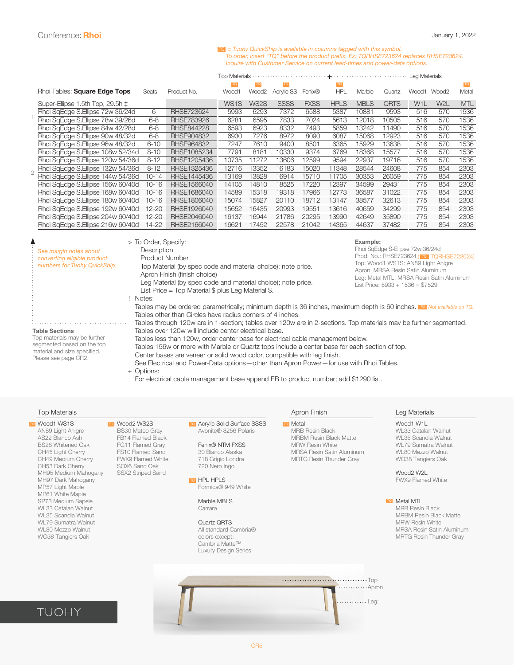#### **=** *Tuohy QuickShip is available in columns tagged with this symbol. TQTo order, insert "TQ" before the product prefix. Ex: TQRHSE723624 replaces RHSE723624. Inquire with Customer Service on current lead-times and power-data options.*

**+**

|                                           |              |                   | Top Materials<br>Leg Materials |                   |             |             |             |             |             |                  |                  |            |
|-------------------------------------------|--------------|-------------------|--------------------------------|-------------------|-------------|-------------|-------------|-------------|-------------|------------------|------------------|------------|
|                                           |              |                   | <b>TQ</b>                      | TQ                | TQ          |             | <b>TQ</b>   |             |             |                  |                  | TQ         |
| Rhoi Tables: Square Edge Tops             | <b>Seats</b> | Product No.       | Wood1                          | Wood <sub>2</sub> | Acrylic SS  | Fenix®      | <b>HPL</b>  | Marble      | Quartz      | Wood1            | Wood2            | Metal      |
| Super-Ellipse 1.5th Top, 29.5h $\ddagger$ |              |                   | WS <sub>1</sub> S              | WS2S              | <b>SSSS</b> | <b>FXSS</b> | <b>HPLS</b> | <b>MBLS</b> | <b>QRTS</b> | W <sub>1</sub> L | W <sub>2</sub> L | <b>MTL</b> |
| Rhoi SqEdge S.Ellipse 72w 36/24d          | 6            | <b>RHSE723624</b> | 5993                           | 6293              | 7372        | 6588        | 5387        | 10881       | 9593        | 516              | 570              | 1536       |
| Rhoi SqEdge S.Ellipse 78w 39/26d          | 6-8          | <b>RHSE783926</b> | 6281                           | 6595              | 7833        | 7024        | 5613        | 12018       | 10505       | 516              | 570              | 1536       |
| Rhoi SqEdge S.Ellipse 84w 42/28d          | $6 - 8$      | <b>RHSE844228</b> | 6593                           | 6923              | 8332        | 7493        | 5859        | 13242       | 11490       | 516              | 570              | 1536       |
| Rhoi SqEdge S.Ellipse 90w 48/32d          | $6 - 8$      | RHSE904832        | 6930                           | 7276              | 8972        | 8090        | 6087        | 15068       | 12923       | 516              | 570              | 1536       |
| Rhoi SaEdge S.Ellipse 96w 48/32d          | $6 - 10$     | RHSE964832        | 7247                           | 7610              | 9400        | 8501        | 6365        | 15929       | 13638       | 516              | 570              | 1536       |
| Rhoi SqEdge S.Ellipse 108w 52/34d         | $8 - 10$     | RHSE1085234       | 7791                           | 8181              | 10330       | 9374        | 6769        | 18368       | 15577       | 516              | 570              | 1536       |
| Rhoi SgEdge S.Ellipse 120w 54/36d         | $8 - 12$     | RHSE1205436       | 10735                          | 11272             | 13606       | 12599       | 9594        | 22937       | 19716       | 516              | 570              | 1536       |
| Rhoi SgEdge S.Ellipse 132w 54/36d         | $8 - 12$     | RHSE1325436       | 12716                          | 13352             | 16183       | 15020       | 11348       | 28544       | 24608       | 775              | 854              | 2303       |
| Rhoi SaEdae S.Ellipse 144w 54/36d         | $10 - 14$    | RHSE1445436       | 13169                          | 13828             | 16914       | 15710       | 11705       | 30353       | 26059       | 775              | 854              | 2303       |
| Rhoi SgEdge S.Ellipse 156w 60/40d         | $10 - 16$    | RHSE1566040       | 14105                          | 14810             | 18525       | 17220       | 12397       | 34599       | 29431       | 775              | 854              | 2303       |
| Rhoi SgEdge S.Ellipse 168w 60/40d         | $10 - 16$    | RHSE1686040       | 14589                          | 15318             | 19318       | 17966       | 12773       | 36587       | 31022       | 775              | 854              | 2303       |
| Rhoi SgEdge S.Ellipse 180w 60/40d         | $10 - 16$    | RHSE1806040       | 15074                          | 15827             | 20110       | 18712       | 13147       | 38577       | 32613       | 775              | 854              | 2303       |
| Rhoi SgEdge S.Ellipse 192w 60/40d         | $12 - 20$    | RHSE1926040       | 15652                          | 16435             | 20993       | 19551       | 13616       | 40659       | 34299       | 775              | 854              | 2303       |
| Rhoi SgEdge S.Ellipse 204w 60/40d         | 12-20        | RHSE2046040       | 16137                          | 16944             | 21786       | 20295       | 13990       | 42649       | 35890       | 775              | 854              | 2303       |
| Rhoi SgEdge S.Ellipse 216w 60/40d         | 14-22        | RHSE2166040       | 16621                          | 17452             | 22578       | 21042       | 14365       | 44637       | 37482       | 775              | 854              | 2303       |

| See margin notes about<br>converting eligible product<br>numbers for Tuohy QuickShip.                                                       | > To Order, Specify:<br>Description<br>Product Number<br>Top Material (by spec code and material choice); note price.<br>Apron Finish (finish choice)<br>Leg Material (by spec code and material choice); note price.<br>List Price = Top Material $$$ plus Leg Material $$$ .                                                                                                                                                                                                                                                                                                                                                                                                                                                                                                                                                                | Example:<br>Rhoi SgEdge S-Ellipse 72w 36/24d<br>Prod. No.: RHSE723624 (TO TQRHSE723624)<br>Top: Wood1 WS1S: AN89 Light Anigre<br>Apron: MRSA Resin Satin Aluminum<br>Leg: Metal MTL: MRSA Resin Satin Aluminum<br>List Price: $5933 + 1536 = $7529$ |
|---------------------------------------------------------------------------------------------------------------------------------------------|-----------------------------------------------------------------------------------------------------------------------------------------------------------------------------------------------------------------------------------------------------------------------------------------------------------------------------------------------------------------------------------------------------------------------------------------------------------------------------------------------------------------------------------------------------------------------------------------------------------------------------------------------------------------------------------------------------------------------------------------------------------------------------------------------------------------------------------------------|-----------------------------------------------------------------------------------------------------------------------------------------------------------------------------------------------------------------------------------------------------|
| <b>Table Sections</b><br>Top materials may be further<br>segmented based on the top<br>material and size specified.<br>Please see page CR2. | Notes:<br>Tables may be ordered parametrically; minimum depth is 36 inches, maximum depth is 60 inches. To Not available on TQ.<br>Tables other than Circles have radius corners of 4 inches.<br>Tables through 120w are in 1-section; tables over 120w are in 2-sections. Top materials may be further segmented.<br>Tables over 120w will include center electrical base.<br>Tables less than 120w, order center base for electrical cable management below.<br>Tables 156w or more with Marble or Quartz tops include a center base for each section of top.<br>Center bases are veneer or solid wood color, compatible with leg finish.<br>See Electrical and Power-Data options — other than Apron Power — for use with Rhoi Tables.<br>+ Options:<br>For electrical cable management base append EB to product number; add \$1290 list. |                                                                                                                                                                                                                                                     |

#### Top Materials Apron Finish Leg Materials

| Wood1 WS1S               |
|--------------------------|
| AN89 Light Anigre        |
| AS22 Blanco Ash          |
| <b>BS28 Whitened Oak</b> |
| CH45 Light Cherry        |
| CH49 Medium Cherry       |
| CH53 Dark Cherry         |
| MH95 Medium Mahogany     |
| MH97 Dark Mahogany       |
| MP57 Light Maple         |
| MP61 White Maple         |
| SP73 Medium Sapele       |
| WL33 Catalan Walnut      |
| WL35 Scandia Walnut      |
| WL79 Sumatra Walnut      |
| <b>WL80 Mezzo Walnut</b> |
| WO38 Tangiers Oak        |
|                          |

Wood2 WS2S BS30 Mateo Gray FB14 Flamed Black FG11 Flamed Gray FS10 Flamed Sand FWX9 Flamed White SOX6 Sand Oak SSX2 Striped Sand

Acrylic Solid Surface SSSS *TQ TQ TQ TQ* Avonite® 8256 Polaris

> Fenix® NTM FXSS 30 Bianco Alaska 718 Grigio Londra 720 Nero Ingo

HPL HPLS *TQ* Formica® 949 White

> Marble MBLS **Carrara**

Quartz QRTS All standard Cambria® colors except: Cambria Matte™ Luxury Design Series

To Metal MRB Resin Black MRBM Resin Black Matte MRW Resin White MRSA Resin Satin Aluminum MRTG Resin Thunder Gray

Top

.........Apron  $\ldots \ldots \ldots$  Leg:

Wood1 W1L WL33 Catalan Walnut WL35 Scandia Walnut WL79 Sumatra Walnut WL80 Mezzo Walnut WO38 Tangiers Oak

Wood2 W2L FWX9 Flamed White

Metal MTL *TQ*

MRB Resin Black MRBM Resin Black Matte MRW Resin White MRSA Resin Satin Aluminum MRTG Resin Thunder Gray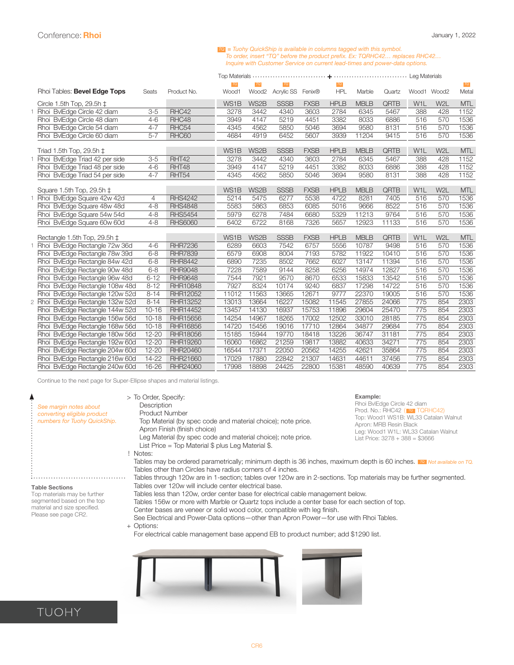#### **=** *Tuohy QuickShip is available in columns tagged with this symbol. To order, insert "TQ" before the product prefix. Ex: TQRHC42… replaces RHC42… Inquire with Customer Service on current lead-times and power-data options.*

<span id="page-5-0"></span>

|                                            |                      |                                   | TQ                | TQ           | <b>TQ</b>    |                     |              |                |                |                  |                  | $TQ$         |
|--------------------------------------------|----------------------|-----------------------------------|-------------------|--------------|--------------|---------------------|--------------|----------------|----------------|------------------|------------------|--------------|
| Rhoi Tables: Bevel Edge Tops               | Seats                | Product No.                       | Wood1             | Wood2        | Acrylic SS   | Fenix®              | <b>HPL</b>   | Marble         | Quartz         | Wood1 Wood2      |                  | Metal        |
| Circle 1.5th Top, 29.5h $\pm$              |                      |                                   | WS <sub>1</sub> B | WS2B         | <b>SSSB</b>  | <b>FXSB</b>         | <b>HPLB</b>  | <b>MBLB</b>    | QRTB           | W <sub>1</sub> L | W <sub>2</sub> L | <b>MTL</b>   |
| Rhoi BylEdge Circle 42 diam                | $3-5$                | RHC42                             | 3278              | 3442         | 4340         | 3603                | 2784         | 6345           | 5467           | 388              | 428              | 1152         |
| Rhoi BvlEdge Circle 48 diam                | $4 - 6$              | RHC48                             | 3949              | 4147         | 5219         | 4451                | 3382         | 8033           | 6886           | 516              | 570              | 1536         |
| Rhoi BylEdge Circle 54 diam                | $4 - 7$              | RHC54                             | 4345              | 4562         | 5850         | 5046                | 3694         | 9580           | 8131           | 516              | 570              | 1536         |
| Rhoi BvlEdge Circle 60 diam                | $5 - 7$              | RHC60                             | 4684              | 4919         | 6452         | 5607                | 3939         | 11204          | 9415           | 516              | 570              | 1536         |
|                                            |                      |                                   |                   |              |              |                     |              |                |                |                  |                  |              |
| Triad 1.5th Top, 29.5h $\pm$               |                      |                                   | WS1B              | WS2B         | <b>SSSB</b>  | <b>FXSB</b>         | <b>HPLB</b>  | <b>MBLB</b>    | QRTB           | W <sub>1</sub> L | W <sub>2</sub> L | <b>MTL</b>   |
| BvlEdge Triad 42 per side<br>1 Rhoi        | $3-5$                | RHT42                             | 3278              | 3442         | 4340         | 3603                | 2784         | 6345           | 5467           | 388              | 428              | 1152         |
| Rhoi BvlEdge Triad 48 per side             | $4 - 6$              | RHT48                             | 3949              | 4147         | 5219         | 4451                | 3382         | 8033           | 6886           | 388              | 428              | 1152         |
| Rhoi BylEdge Triad 54 per side             | $4 - 7$              | RHT54                             | 4345              | 4562         | 5850         | 5046                | 3694         | 9580           | 8131           | 388              | 428              | 1152         |
|                                            |                      |                                   |                   |              |              |                     |              |                |                |                  |                  |              |
| Square 1.5th Top, 29.5h $\ddagger$         |                      |                                   | WS1B              | WS2B         | <b>SSSB</b>  | <b>FXSB</b>         | <b>HPLB</b>  | <b>MBLB</b>    | QRTB           | W <sub>1</sub> L | W <sub>2</sub> L | <b>MTL</b>   |
| 1 Rhoi BvlEdge Square 42w 42d              | 4                    | <b>RHS4242</b>                    | 5214              | 5475         | 6277         | 5538                | 4722         | 8281           | 7405           | 516              | 570              | 1536         |
| Rhoi BylEdge Square 48w 48d                | $4 - 8$              | <b>RHS4848</b>                    | 5583              | 5863         | 6853         | 6085                | 5016         | 9666           | 8522           | 516              | 570              | 1536         |
| Rhoi BvlEdge Square 54w 54d                | $4 - 8$              | <b>RHS5454</b>                    | 5979              | 6278         | 7484         | 6680                | 5329         | 11213          | 9764           | 516              | 570              | 1536         |
| Rhoi BvlEdge Square 60w 60d                | $4 - 8$              | <b>RHS6060</b>                    | 6402              | 6722         | 8168         | 7326                | 5657         | 12923          | 11133          | 516              | 570              | 1536         |
|                                            |                      |                                   |                   |              |              |                     |              |                |                |                  |                  |              |
| Rectangle 1.5th Top, 29.5h ‡               |                      |                                   | WS1B              | WS2B         | <b>SSSB</b>  | <b>FXSB</b><br>6757 | <b>HPLB</b>  | <b>MBLB</b>    | QRTB           | W <sub>1</sub> L | W <sub>2</sub> L | <b>MTL</b>   |
| Rhoi BvlEdge Rectangle 72w 36d             | $4 - 6$              | <b>RHR7236</b>                    | 6289              | 6603         | 7542         |                     | 5556         | 10787          | 9498           | 516              | 570              | 1536<br>1536 |
| BylEdge Rectangle 78w 39d<br>Rhoi          | $6 - 8$              | <b>RHR7839</b>                    | 6579              | 6908         | 8004         | 7193                | 5782         | 11922          | 10410          | 516              | 570              |              |
| BylEdge Rectangle 84w 42d<br>Rhoi          | $6 - 8$              | <b>RHR8442</b>                    | 6890              | 7235         | 8502         | 7662                | 6027         | 13147          | 11394          | 516              | 570              | 1536         |
| BylEdge Rectangle 90w 48d<br>Rhoi          | $6 - 8$              | <b>RHR9048</b>                    | 7228<br>7544      | 7589         | 9144<br>9570 | 8258                | 6256<br>6533 | 14974          | 12827          | 516              | 570<br>570       | 1536<br>1536 |
| BylEdge Rectangle 96w 48d<br>Rhoi          | $6 - 12$             | <b>RHR9648</b><br><b>RHR10848</b> | 7927              | 7921<br>8324 | 10174        | 8670<br>9240        | 6837         | 15833          | 13542<br>14722 | 516              | 570              | 1536         |
| BvlEdge Rectangle 108w 48d<br>Rhoi<br>Rhoi | $8 - 12$<br>$8 - 14$ | <b>RHR12052</b>                   | 11012             | 11563        | 13665        | 12671               | 9777         | 17298<br>22370 | 19005          | 516<br>516       | 570              | 1536         |
| BvlEdge Rectangle 120w 52d                 |                      |                                   |                   |              |              |                     |              |                |                | 775              | 854              | 2303         |
| BvlEdge Rectangle 132w 52d<br>2 Rhoi       | $8 - 14$             | RHR13252                          | 13013             | 13664        | 16227        | 15082               | 11545        | 27855          | 24066          |                  |                  |              |
| BvlEdge Rectangle 144w 52d<br>Rhoi         | $10 - 16$            | RHR14452                          | 13457             | 14130        | 16937        | 15753               | 11896        | 29604          | 25470          | 775              | 854              | 2303         |
| BvlEdge Rectangle 156w 56d<br>Rhoi         | $10 - 18$            | RHR15656                          | 14254             | 14967        | 18265        | 17002               | 12502        | 33010          | 28185          | 775              | 854              | 2303         |
| BvlEdge Rectangle 168w 56d<br>Rhoi         | $10 - 18$            | <b>RHR16856</b>                   | 14720             | 15456        | 19016        | 17710               | 12864        | 34877          | 29684          | 775              | 854              | 2303         |
| BylEdge Rectangle 180w 56d<br>Rhoi         | $12 - 20$            | <b>RHR18056</b>                   | 15185             | 15944        | 19770        | 18418               | 13226        | 36747          | 31181          | 775              | 854              | 2303         |
| BvlEdge Rectangle 192w 60d<br>Rhoi         | $12 - 20$            | RHR19260                          | 16060             | 16862        | 21259        | 19817               | 13882        | 40633          | 34271          | 775              | 854              | 2303         |
| Rhoi BvlEdge Rectangle 204w 60d            | $12 - 20$            | RHR20460                          | 16544             | 17371        | 22050        | 20562               | 14255        | 42621          | 35864          | 775              | 854              | 2303         |
| BvlEdge Rectangle 216w 60d<br>Rhoi         | 14-22                | RHR21660                          | 17029             | 17880        | 22842        | 21307               | 14631        | 44611          | 37456          | 775              | 854              | 2303         |
| Rhoi BylEdge Rectangle 240w 60d            | 16-26                | RHR24060                          | 17998             | 18898        | 24425        | 22800               | 15381        | 48590          | 40639          | 775              | 854              | 2303         |

Continue to the next page for Super-Ellipse shapes and material listings.

| See margin notes about<br>converting eligible product<br>numbers for Tuohy QuickShip.                                                       | > To Order, Specify:<br>Description<br><b>Product Number</b><br>Top Material (by spec code and material choice); note price.<br>Apron Finish (finish choice)<br>Leg Material (by spec code and material choice); note price.<br>List Price = Top Material $\frac{6}{3}$ plus Leg Material \$.<br>! Notes:                                                                                                                                                                                                                                                                                                                                                                                                                                                                                                                       | Example:<br>Rhoi BvlEdge Circle 42 diam<br>Prod. No.: RHC42 (TQ TQRHC42)<br>Top: Wood1 WS1B: WL33 Catalan Walnut<br>Apron: MRB Resin Black<br>Leg: Wood1 W1L: WL33 Catalan Walnut<br>List Price: $3278 + 388 = $3666$ |
|---------------------------------------------------------------------------------------------------------------------------------------------|---------------------------------------------------------------------------------------------------------------------------------------------------------------------------------------------------------------------------------------------------------------------------------------------------------------------------------------------------------------------------------------------------------------------------------------------------------------------------------------------------------------------------------------------------------------------------------------------------------------------------------------------------------------------------------------------------------------------------------------------------------------------------------------------------------------------------------|-----------------------------------------------------------------------------------------------------------------------------------------------------------------------------------------------------------------------|
| <b>Table Sections</b><br>Top materials may be further<br>segmented based on the top<br>material and size specified.<br>Please see page CR2. | Tables may be ordered parametrically; minimum depth is 36 inches, maximum depth is 60 inches. To Not available on TQ.<br>Tables other than Circles have radius corners of 4 inches.<br>Tables through 120w are in 1-section; tables over 120w are in 2-sections. Top materials may be further segmented.<br>Tables over 120w will include center electrical base.<br>Tables less than 120w, order center base for electrical cable management below.<br>Tables 156w or more with Marble or Quartz tops include a center base for each section of top.<br>Center bases are veneer or solid wood color, compatible with leg finish.<br>See Electrical and Power-Data options-other than Apron Power-for use with Rhoi Tables.<br>+ Options:<br>For electrical cable management base append EB to product number; add \$1290 list. |                                                                                                                                                                                                                       |
|                                                                                                                                             |                                                                                                                                                                                                                                                                                                                                                                                                                                                                                                                                                                                                                                                                                                                                                                                                                                 |                                                                                                                                                                                                                       |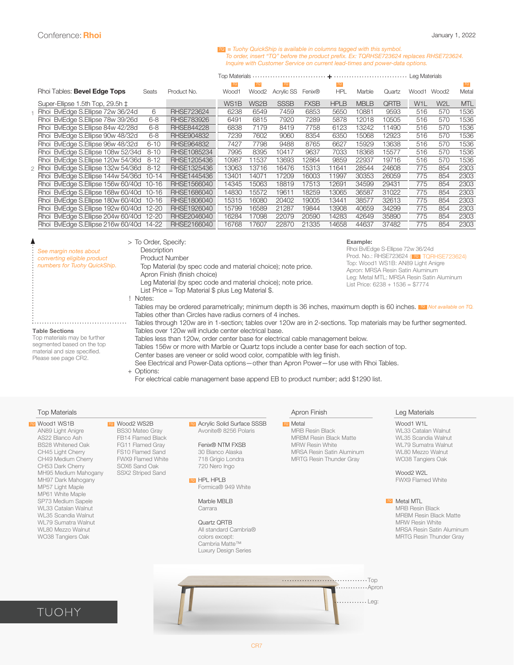#### **=** *Tuohy QuickShip is available in columns tagged with this symbol. To = Iuony QuickSnip is available in columns tagged with this symbol.*<br>To order, insert "TQ" before the product prefix. Ex: TQRHSE723624 replaces RHSE723624. *Inquire with Customer Service on current lead-times and power-data options.*

| Top Motoriolo |  | Log Motoriolo |
|---------------|--|---------------|

|                                                                                                                                                                                                                                                                                       |                                                                                                                                                                                                                                                                                                                                                                                                                          | TQ                | <b>TQ</b>         |             |             |             |               |        |                  |                   | <b>TQ</b>  |
|---------------------------------------------------------------------------------------------------------------------------------------------------------------------------------------------------------------------------------------------------------------------------------------|--------------------------------------------------------------------------------------------------------------------------------------------------------------------------------------------------------------------------------------------------------------------------------------------------------------------------------------------------------------------------------------------------------------------------|-------------------|-------------------|-------------|-------------|-------------|---------------|--------|------------------|-------------------|------------|
| <b>Seats</b>                                                                                                                                                                                                                                                                          | Product No.                                                                                                                                                                                                                                                                                                                                                                                                              | Wood1             | Wood <sub>2</sub> | Acrylic SS  | Fenix®      | <b>HPL</b>  | <b>Marble</b> | Quartz | Wood1            | Wood <sub>2</sub> | Metal      |
|                                                                                                                                                                                                                                                                                       |                                                                                                                                                                                                                                                                                                                                                                                                                          | WS <sub>1</sub> B | WS <sub>2</sub> B | <b>SSSB</b> | <b>FXSB</b> | <b>HPLB</b> | <b>MBLB</b>   | QRTB   | W <sub>1</sub> L | W2L               | <b>MTL</b> |
| 6                                                                                                                                                                                                                                                                                     |                                                                                                                                                                                                                                                                                                                                                                                                                          | 6238              | 6549              | 7459        | 6853        | 5650        | 10881         | 9593   | 516              | 570               | 1536       |
| $6 - 8$                                                                                                                                                                                                                                                                               | <b>RHSE783926</b>                                                                                                                                                                                                                                                                                                                                                                                                        | 6491              | 6815              | 7920        | 7289        | 5878        | 12018         | 10505  | 516              | 570               | 1536       |
| $6 - 8$                                                                                                                                                                                                                                                                               | <b>RHSE844228</b>                                                                                                                                                                                                                                                                                                                                                                                                        | 6838              | 7179              | 8419        | 7758        | 6123        | 13242         | 11490  | 516              | 570               | 1536       |
| $6 - 8$                                                                                                                                                                                                                                                                               | <b>RHSE904832</b>                                                                                                                                                                                                                                                                                                                                                                                                        | 7239              | 7602              | 9060        | 8354        | 6350        | 15068         | 12923  | 516              | 570               | 1536       |
| $6 - 10$                                                                                                                                                                                                                                                                              | <b>RHSE964832</b>                                                                                                                                                                                                                                                                                                                                                                                                        | 7427              | 7798              | 9488        | 8765        | 6627        | 15929         | 13638  | 516              | 570               | 1536       |
| $8 - 10$                                                                                                                                                                                                                                                                              | RHSE1085234                                                                                                                                                                                                                                                                                                                                                                                                              | 7995              | 8395              | 10417       | 9637        | 7033        | 18368         | 15577  | 516              | 570               | 1536       |
| $8 - 12$                                                                                                                                                                                                                                                                              | RHSE1205436                                                                                                                                                                                                                                                                                                                                                                                                              | 10987             | 11537             | 13693       | 12864       | 9859        | 22937         | 19716  | 516              | 570               | 1536       |
| $8 - 12$                                                                                                                                                                                                                                                                              | RHSE1325436                                                                                                                                                                                                                                                                                                                                                                                                              | 13063             | 13716             | 16476       | 15313       | 11641       | 28544         | 24608  | 775              | 854               | 2303       |
|                                                                                                                                                                                                                                                                                       | RHSE1445436                                                                                                                                                                                                                                                                                                                                                                                                              | 13401             | 14071             | 17209       | 16003       | 11997       | 30353         | 26059  | 775              | 854               | 2303       |
|                                                                                                                                                                                                                                                                                       | RHSE1566040                                                                                                                                                                                                                                                                                                                                                                                                              | 14345             | 15063             | 18819       | 17513       | 12691       | 34599         | 29431  | 775              | 854               | 2303       |
|                                                                                                                                                                                                                                                                                       | RHSE1686040                                                                                                                                                                                                                                                                                                                                                                                                              | 14830             | 15572             | 19611       | 18259       | 13065       | 36587         | 31022  | 775              | 854               | 2303       |
|                                                                                                                                                                                                                                                                                       | RHSE1806040                                                                                                                                                                                                                                                                                                                                                                                                              | 15315             | 16080             | 20402       | 19005       | 13441       | 38577         | 32613  | 775              | 854               | 2303       |
|                                                                                                                                                                                                                                                                                       | RHSE1926040                                                                                                                                                                                                                                                                                                                                                                                                              | 15799             | 16589             | 21287       | 19844       | 13908       | 40659         | 34299  | 775              | 854               | 2303       |
|                                                                                                                                                                                                                                                                                       | RHSE2046040                                                                                                                                                                                                                                                                                                                                                                                                              | 16284             | 17098             | 22079       | 20590       | 14283       | 42649         | 35890  | 775              | 854               | 2303       |
|                                                                                                                                                                                                                                                                                       | RHSE2166040                                                                                                                                                                                                                                                                                                                                                                                                              | 16768             | 17607             | 22870       | 21335       | 14658       | 44637         | 37482  | 775              | 854               | 2303       |
| Rhoi Tables: Bevel Edge Tops<br>Super-Ellipse 1.5th Top, 29.5h ‡<br>BylEdge S.Ellipse 72w 36/24d<br><b>Rhoi</b><br>Rhoi BylEdge S.Ellipse 78w 39/26d<br>Rhoi BylEdge S.Ellipse 84w 42/28d<br>Rhoi BylEdge S.Ellipse 90w 48/32d<br>Rhoi BylEdge S.Ellipse 96w 48/32d<br>2 Rhoi<br>Rhoi | Rhoi BylEdge S.Ellipse 108w 52/34d<br>Rhoi BylEdge S.Ellipse 120w 54/36d<br>BylEdge S.Ellipse 132w 54/36d<br>Rhoi BylEdge S.Ellipse 144w 54/36d 10-14<br>Rhoi BylEdge S.Ellipse 156w 60/40d 10-16<br>Rhoi BylEdge S.Ellipse 168w 60/40d 10-16<br>Rhoi BylEdge S.Ellipse 180w 60/40d 10-16<br>Rhoi BylEdge S.Ellipse 192w 60/40d 12-20<br>BylEdge S.Ellipse 204w 60/40d 12-20<br>Rhoi BylEdge S.Ellipse 216w 60/40d 14-22 | <b>RHSE723624</b> |                   |             |             |             |               |        |                  |                   |            |

| See margin notes about<br>converting eligible product<br>numbers for Tuohy QuickShip.                                                       | > To Order, Specify:<br>Description<br><b>Product Number</b><br>Top Material (by spec code and material choice); note price.<br>Apron Finish (finish choice)<br>Leg Material (by spec code and material choice); note price.<br>List Price = Top Material $$$ plus Leg Material $$$ .                                                                                                                                                                                                                                                                                                                                                                                                                                                                                                                                                         | Example:<br>Rhoi BylEdge S-Ellipse 72w 36/24d<br>Prod. No.: RHSE723624 (To TQRHSE723624)<br>Top: Wood1 WS1B: AN89 Light Anigre<br>Apron: MRSA Resin Satin Aluminum<br>Leg: Metal MTL: MRSA Resin Satin Aluminum<br>List Price: 6238 + 1536 = \$7774 |
|---------------------------------------------------------------------------------------------------------------------------------------------|-----------------------------------------------------------------------------------------------------------------------------------------------------------------------------------------------------------------------------------------------------------------------------------------------------------------------------------------------------------------------------------------------------------------------------------------------------------------------------------------------------------------------------------------------------------------------------------------------------------------------------------------------------------------------------------------------------------------------------------------------------------------------------------------------------------------------------------------------|-----------------------------------------------------------------------------------------------------------------------------------------------------------------------------------------------------------------------------------------------------|
| <b>Table Sections</b><br>Top materials may be further<br>segmented based on the top<br>material and size specified.<br>Please see page CR2. | Notes:<br>Tables may be ordered parametrically; minimum depth is 36 inches, maximum depth is 60 inches. To Not available on TQ.<br>Tables other than Circles have radius corners of 4 inches.<br>Tables through 120w are in 1-section; tables over 120w are in 2-sections. Top materials may be further segmented.<br>Tables over 120w will include center electrical base.<br>Tables less than 120w, order center base for electrical cable management below.<br>Tables 156w or more with Marble or Quartz tops include a center base for each section of top.<br>Center bases are veneer or solid wood color, compatible with leg finish.<br>See Electrical and Power-Data options — other than Apron Power — for use with Rhoi Tables.<br>+ Options:<br>For electrical cable management base append EB to product number; add \$1290 list. |                                                                                                                                                                                                                                                     |

#### Top Materials Apron Finish Leg Materials

| Wood1 WS1B                 | Wood2 WS2B               | <b>TO</b> Acrylic Solid Surface SSSB | TQ |
|----------------------------|--------------------------|--------------------------------------|----|
| AN89 Light Anigre          | <b>BS30 Mateo Gray</b>   | Avonite® 8256 Polaris                |    |
| AS22 Blanco Ash            | FB14 Flamed Black        |                                      |    |
| <b>BS28 Whitened Oak</b>   | FG11 Flamed Gray         | Fenix® NTM FXSB                      |    |
| CH45 Light Cherry          | FS10 Flamed Sand         | 30 Bianco Alaska                     |    |
| CH49 Medium Cherry         | <b>FWX9 Flamed White</b> | 718 Grigio Londra                    |    |
| CH53 Dark Cherry           | SOX6 Sand Oak            | 720 Nero Ingo                        |    |
| MH95 Medium Mahogany       | SSX2 Striped Sand        |                                      |    |
| MH97 Dark Mahogany         |                          | TO HPL HPLB                          |    |
| MP57 Light Maple           |                          | Formica® 949 White                   |    |
| MP61 White Maple           |                          |                                      |    |
| SP73 Medium Sapele         |                          | Marble MBLB                          |    |
| <b>WL33 Catalan Walnut</b> |                          | Carrara                              |    |
| WL35 Scandia Walnut        |                          |                                      |    |
| WL79 Sumatra Walnut        |                          | Quartz QRTB                          |    |
| <b>WL80 Mezzo Walnut</b>   |                          | All standard Cambria®                |    |
| WO38 Tangiers Oak          |                          | colors except:                       |    |
|                            |                          | Cambria MattaTM                      |    |

Quartz QRTB All standard Cambria® colors except: Cambria Matte™ Luxury Design Series

To Metal MRB Resin Black MRBM Resin Black Matte MRW Resin White MRSA Resin Satin Aluminum MRTG Resin Thunder Gray

Top

.........Apron  $\ldots \ldots \ldots$  Leg:

Wood1 W1L WL33 Catalan Walnut WL35 Scandia Walnut WL79 Sumatra Walnut WL80 Mezzo Walnut WO38 Tangiers Oak

Wood2 W2L FWX9 Flamed White

Metal MTL *TQ*

MRB Resin Black MRBM Resin Black Matte MRW Resin White MRSA Resin Satin Aluminum MRTG Resin Thunder Gray